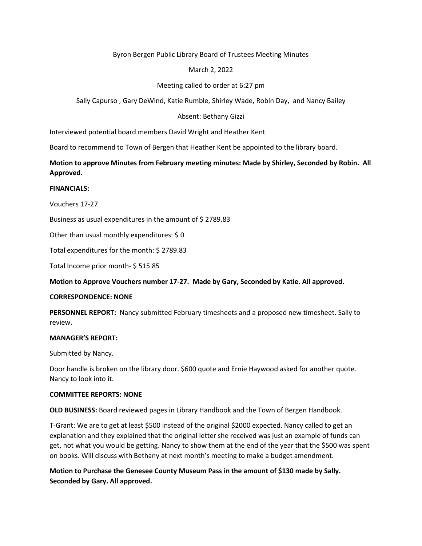## Byron Bergen Public Library Board of Trustees Meeting Minutes

# March 2, 2022

# Meeting called to order at 6:27 pm

Sally Capurso , Gary DeWind, Katie Rumble, Shirley Wade, Robin Day, and Nancy Bailey

## Absent: Bethany Gizzi

Interviewed potential board members David Wright and Heather Kent

Board to recommend to Town of Bergen that Heather Kent be appointed to the library board.

**Motion to approve Minutes from February meeting minutes: Made by Shirley, Seconded by Robin. All Approved.** 

### **FINANCIALS:**

Vouchers 17-27

Business as usual expenditures in the amount of \$ 2789.83

Other than usual monthly expenditures: \$ 0

Total expenditures for the month: \$ 2789.83

Total Income prior month- \$ 515.85

**Motion to Approve Vouchers number 17-27. Made by Gary, Seconded by Katie. All approved.**

#### **CORRESPONDENCE: NONE**

**PERSONNEL REPORT:** Nancy submitted February timesheets and a proposed new timesheet. Sally to review.

### **MANAGER'S REPORT:**

Submitted by Nancy.

Door handle is broken on the library door. \$600 quote and Ernie Haywood asked for another quote. Nancy to look into it.

### **COMMITTEE REPORTS: NONE**

**OLD BUSINESS:** Board reviewed pages in Library Handbook and the Town of Bergen Handbook.

T-Grant: We are to get at least \$500 instead of the original \$2000 expected. Nancy called to get an explanation and they explained that the original letter she received was just an example of funds can get, not what you would be getting. Nancy to show them at the end of the year that the \$500 was spent on books. Will discuss with Bethany at next month's meeting to make a budget amendment.

**Motion to Purchase the Genesee County Museum Pass in the amount of \$130 made by Sally. Seconded by Gary. All approved.**